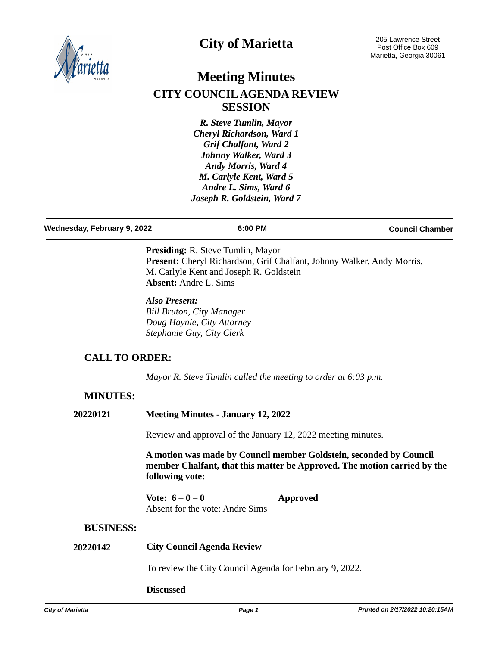

## **City of Marietta**

# **Meeting Minutes CITY COUNCIL AGENDA REVIEW SESSION**

*R. Steve Tumlin, Mayor Cheryl Richardson, Ward 1 Grif Chalfant, Ward 2 Johnny Walker, Ward 3 Andy Morris, Ward 4 M. Carlyle Kent, Ward 5 Andre L. Sims, Ward 6 Joseph R. Goldstein, Ward 7*

| Wednesday, February 9, 2022 | 6:00 PM | <b>Council Chamber</b> |
|-----------------------------|---------|------------------------|
|                             |         |                        |

**Presiding:** R. Steve Tumlin, Mayor Present: Cheryl Richardson, Grif Chalfant, Johnny Walker, Andy Morris, M. Carlyle Kent and Joseph R. Goldstein **Absent:** Andre L. Sims

*Also Present: Bill Bruton, City Manager Doug Haynie, City Attorney Stephanie Guy, City Clerk*

## **CALL TO ORDER:**

*Mayor R. Steve Tumlin called the meeting to order at 6:03 p.m.*

### **MINUTES:**

| 20220121 |  | <b>Meeting Minutes - January 12, 2022</b> |
|----------|--|-------------------------------------------|
|----------|--|-------------------------------------------|

Review and approval of the January 12, 2022 meeting minutes.

**A motion was made by Council member Goldstein, seconded by Council member Chalfant, that this matter be Approved. The motion carried by the following vote:**

**Vote: 6 – 0 – 0 Approved** Absent for the vote: Andre Sims

#### **BUSINESS:**

### **20220142 City Council Agenda Review**

To review the City Council Agenda for February 9, 2022.

#### **Discussed**